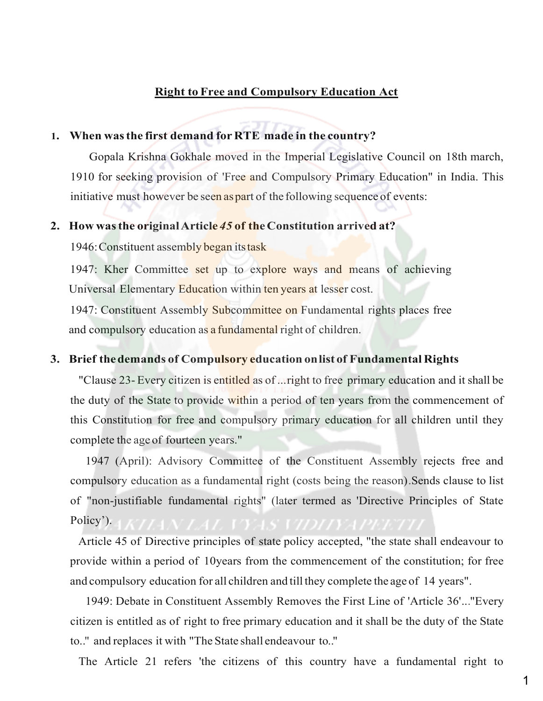# **Right to Free and Compulsory Education Act**

# **1. When was the first demand for RTE made in the country?**

Gopala Krishna Gokhale moved in the Imperial Legislative Council on 18th march, 1910 for seeking provision of 'Free and Compulsory Primary Education" in India. This initiative must however be seen as part of the following sequence of events:

## **2. How was the original Article** *45* **of the Constitution arrived at?**

1946: Constituent assembly began its task

1947: Kher Committee set up to explore ways and means of achieving Universal Elementary Education within ten years at lesser cost.

1947: Constituent Assembly Subcommittee on Fundamental rights places free and compulsory education as a fundamental right of children.

# **3. Brief the demands of Compulsory education on list of Fundamental Rights**

"Clause 23- Every citizen is entitled as of ...right to free primary education and it shall be the duty of the State to provide within a period of ten years from the commencement of this Constitution for free and compulsory primary education for all children until they complete the age of fourteen years."

1947 (April): Advisory Committee of the Constituent Assembly rejects free and compulsory education as a fundamental right (costs being the reason).Sends clause to list of "non-justifiable fundamental rights" (later termed as 'Directive Principles of State Policy').

Article 45 of Directive principles of state policy accepted, "the state shall endeavour to provide within a period of 10years from the commencement of the constitution; for free and compulsory education for all children and till they complete the age of 14 years".

1949: Debate in Constituent Assembly Removes the First Line of 'Article 36'..."Every citizen is entitled as of right to free primary education and it shall be the duty of the State to.." and replaces it with "The State shall endeavour to.."

The Article 21 refers 'the citizens of this country have a fundamental right to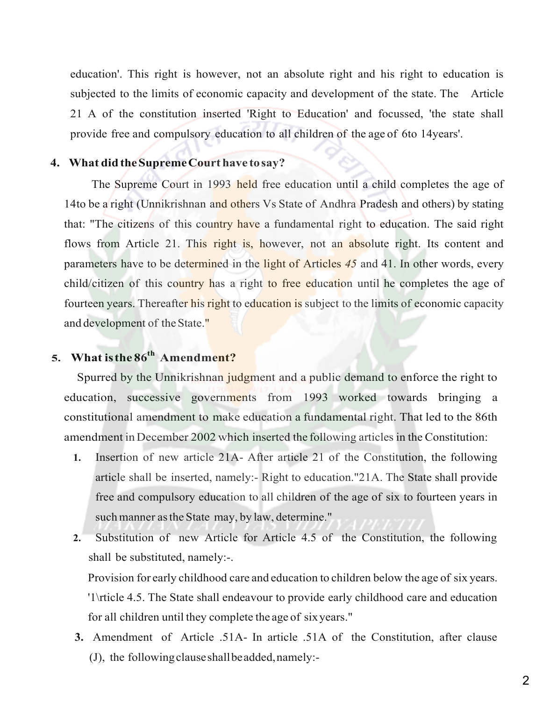education'. This right is however, not an absolute right and his right to education is subjected to the limits of economic capacity and development of the state. The Article 21 A of the constitution inserted 'Right to Education' and focussed, 'the state shall provide free and compulsory education to all children of the age of 6to 14years'.

# **4. What did the Supreme Court have to say?**

The Supreme Court in 1993 held free education until a child completes the age of 14to be a right (Unnikrishnan and others Vs State of Andhra Pradesh and others) by stating that: "The citizens of this country have a fundamental right to education. The said right flows from Article 21. This right is, however, not an absolute right. Its content and parameters have to be determined in the light of Articles *45* and 41. In other words, every child/citizen of this country has a right to free education until he completes the age of fourteen years. Thereafter his right to education is subject to the limits of economic capacity and development of the State."

# **5. What is the 86th Amendment?**

 Spurred by the Unnikrishnan judgment and a public demand to enforce the right to education, successive governments from 1993 worked towards bringing a constitutional amendment to make education a fundamental right. That led to the 86th amendment in December 2002 which inserted the following articles in the Constitution:

- **1.** Insertion of new article 21A- After article 21 of the Constitution, the following article shall be inserted, namely:- Right to education."21A. The State shall provide free and compulsory education to all children of the age of six to fourteen years in such manner as the State may, by law, determine."
- **2.** Substitution of new Article for Article 4.5 of the Constitution, the following shall be substituted, namely:-.

Provision for early childhood care and education to children below the age of six years. '1\rticle 4.5. The State shall endeavour to provide early childhood care and education for all children until they complete the age of six years."

**3.**Amendment of Article .51A- In article .51A of the Constitution, after clause (J), the following clause shall be added, namely:-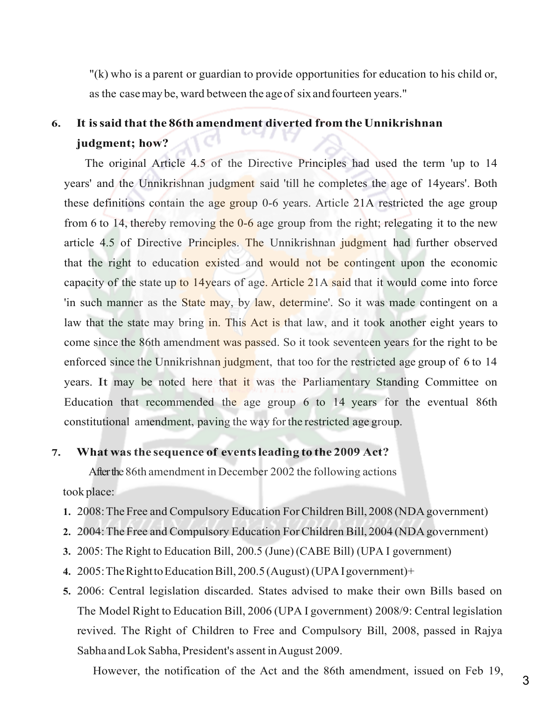"(k) who is a parent or guardian to provide opportunities for education to his child or, as the case may be, ward between the age of six and fourteen years."

# **6. It is said that the 86th amendment diverted from the Unnikrishnan judgment; how?**

The original Article 4.5 of the Directive Principles had used the term 'up to 14 years' and the Unnikrishnan judgment said 'till he completes the age of 14years'. Both these definitions contain the age group 0-6 years. Article 21A restricted the age group from 6 to 14, thereby removing the 0-6 age group from the right; relegating it to the new article 4.5 of Directive Principles. The Unnikrishnan judgment had further observed that the right to education existed and would not be contingent upon the economic capacity of the state up to 14years of age. Article 21A said that it would come into force 'in such manner as the State may, by law, determine'. So it was made contingent on a law that the state may bring in. This Act is that law, and it took another eight years to come since the 86th amendment was passed. So it took seventeen years for the right to be enforced since the Unnikrishnan judgment, that too for the restricted age group of 6 to 14 years. It may be noted here that it was the Parliamentary Standing Committee on Education that recommended the age group 6 to 14 years for the eventual 86th constitutional amendment, paving the way for the restricted age group.

# **7. What was the sequence of events leading to the 2009 Act?**

After the 86th amendment in December 2002 the following actions took place:

- **1.** 2008: The Free and Compulsory Education For Children Bill, 2008 (NDA government)
- **2.** 2004: The Free and Compulsory Education For Children Bill, 2004 (NDA government)
- **3.** 2005: The Right to Education Bill, 200.5 (June) (CABE Bill) (UPA I government)
- **4.** 2005: The Right to Education Bill, 200.5 (August) (UPA I government)+
- **5.** 2006: Central legislation discarded. States advised to make their own Bills based on The Model Right to Education Bill, 2006 (UPA I government) 2008/9: Central legislation revived. The Right of Children to Free and Compulsory Bill, 2008, passed in Rajya Sabha and Lok Sabha, President's assent in August 2009.

However, the notification of the Act and the 86th amendment, issued on Feb 19,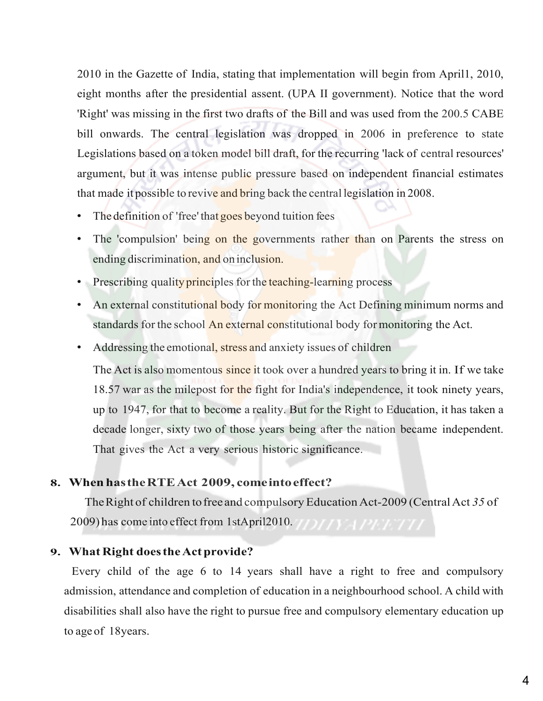2010 in the Gazette of India, stating that implementation will begin from April1, 2010, eight months after the presidential assent. (UPA II government). Notice that the word 'Right' was missing in the first two drafts of the Bill and was used from the 200.5 CABE bill onwards. The central legislation was dropped in 2006 in preference to state Legislations based on a token model bill draft, for the recurring 'lack of central resources' argument, but it was intense public pressure based on independent financial estimates that made it possible to revive and bring back the central legislation in 2008.

- The definition of 'free' that goes beyond tuition fees
- The 'compulsion' being on the governments rather than on Parents the stress on ending discrimination, and on inclusion.
- Prescribing quality principles for the teaching-learning process
- An external constitutional body for monitoring the Act Defining minimum norms and standards for the school An external constitutional body for monitoring the Act.
- Addressing the emotional, stress and anxiety issues of children

The Act is also momentous since it took over a hundred years to bring it in. If we take 18.57 war as the milepost for the fight for India's independence, it took ninety years, up to 1947, for that to become a reality. But for the Right to Education, it has taken a decade longer, sixty two of those years being after the nation became independent. That gives the Act a very serious historic significance.

# **8. When has the RTEAct 2009, come into effect?**

The Right of children tofree and compulsory Education Act-2009 (Central Act *35* of 2009) has come into effect from 1stApril2010. THE REPORT THE

# **9. What Right does the Act provide?**

Every child of the age 6 to 14 years shall have a right to free and compulsory admission, attendance and completion of education in a neighbourhood school. A child with disabilities shall also have the right to pursue free and compulsory elementary education up to age of 18years.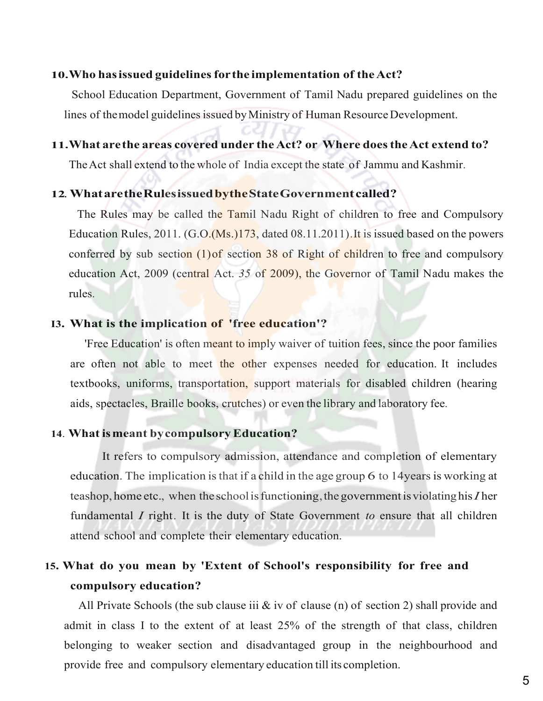#### **10.Who has issued guidelines for the implementation of the Act?**

School Education Department, Government of Tamil Nadu prepared guidelines on the lines of the model guidelines issued by Ministry of Human Resource Development.

## **11.What are the areas covered under the Act? or Where does the Act extend to?**

The Act shall extend to the whole of India except the state of Jammu and Kashmir.

#### **12**. **What are the Rules issued by the State Government called?**

The Rules may be called the Tamil Nadu Right of children to free and Compulsory Education Rules,  $2011. (G.O.(Ms.)173, dated 08.11.2011)$ . It is issued based on the powers conferred by sub section (1)of section 38 of Right of children to free and compulsory education Act, 2009 (central Act. *35* of 2009), the Governor of Tamil Nadu makes the rules.

## **I3. What is the implication of 'free education'?**

'Free Education' is often meant to imply waiver of tuition fees, since the poor families are often not able to meet the other expenses needed for education. It includes textbooks, uniforms, transportation, support materials for disabled children (hearing aids, spectacles, Braille books, crutches) or even the library and laboratory fee.

## **14**. **What is meant by compulsory Education?**

It refers to compulsory admission, attendance and completion of elementary education. The implication is that if a child in the age group 6 to 14years is working at teashop, home etc., when the school is functioning, the government is violating his *I* her fundamental *I* right. It is the duty of State Government *to* ensure that all children attend school and complete their elementary education.

# **15. What do you mean by 'Extent of School's responsibility for free and compulsory education?**

All Private Schools (the sub clause iii & iv of clause (n) of section 2) shall provide and admit in class I to the extent of at least 25% of the strength of that class, children belonging to weaker section and disadvantaged group in the neighbourhood and provide free and compulsory elementary education till its completion.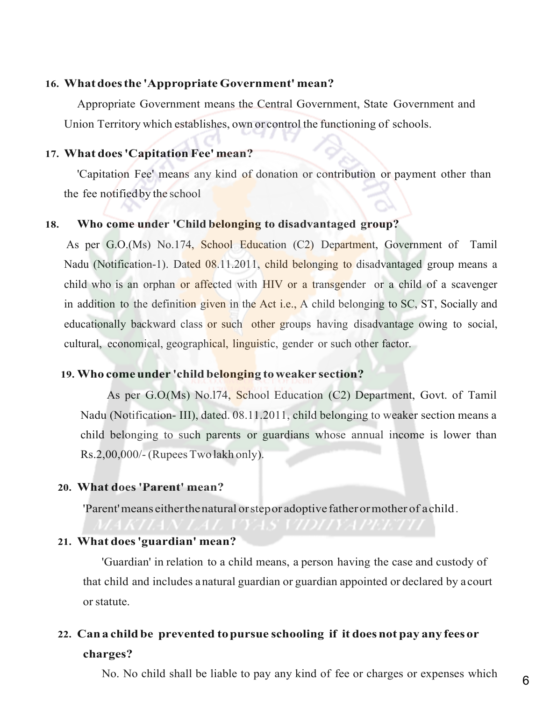## **16. What does the 'Appropriate Government' mean?**

Appropriate Government means the Central Government, State Government and Union Territory which establishes, own or control the functioning of schools.

# **17. What does 'Capitation Fee' mean?**

'Capitation Fee' means any kind of donation or contribution or payment other than the fee notified by the school

# **18. Who come under 'Child belonging to disadvantaged group?**

As per G.O.(Ms) No.174, School Education (C2) Department, Government of Tamil Nadu (Notification-1). Dated 08.11.2011, child belonging to disadvantaged group means a child who is an orphan or affected with HIV or a transgender or a child of a scavenger in addition to the definition given in the Act i.e., A child belonging to SC, ST, Socially and educationally backward class or such other groups having disadvantage owing to social, cultural, economical, geographical, linguistic, gender or such other factor.

#### **19. Who come under 'child belonging to weaker section?**

As per G.O.(Ms) No.174, School Education (C2) Department, Govt. of Tamil Nadu (Notification- III), dated. 08.11.2011, child belonging to weaker section means a child belonging to such parents or guardians whose annual income is lower than Rs.2,00,000/- (Rupees Two lakh only).

#### **20. What does 'Parent' mean?**

'Parent' means either the natural or step or adoptive father or mother of a child.

# **21. What does 'guardian' mean?**

'Guardian' in relation to a child means, a person having the case and custody of that child and includes a natural guardian or guardian appointed or declared by a court or statute.

# **22. Can a child be prevented to pursue schooling if it does not pay any fees or charges?**

No. No child shall be liable to pay any kind of fee or charges or expenses which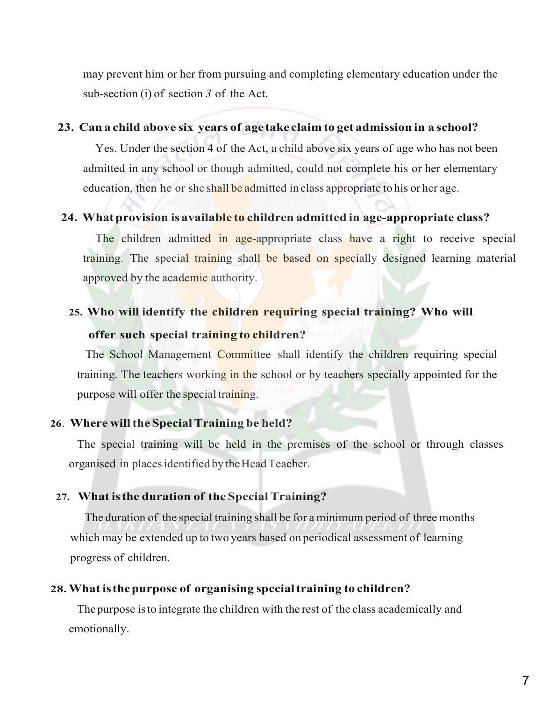may prevent him or her from pursuing and completing elementary education under the sub-section (i) of section *3* of the Act.

## **23. Can a child above six years of age take claim to get admission in a school?**

Yes. Under the section 4 of the Act, a child above six years of age who has not been admitted in any school or though admitted, could not complete his or her elementary education, then he or she shall be admitted in class appropriate to his or her age.

# **24. What provision is available to children admitted in age-appropriate class?**

The children admitted in age-appropriate class have a right to receive special training. The special training shall be based on specially designed learning material approved by the academic authority.

# **25. Who will identify the children requiring special training? Who will**

# **offer such special training to children?**

The School Management Committee shall identify the children requiring special training. The teachers working in the school or by teachers specially appointed for the purpose will offer the special training.

# **26**. **Where will the Special Training be held?**

The special training will be held in the premises of the school or through classes organised in places identified by the Head Teacher.

#### **27. What is the duration of the Special Training?**

The duration of the special training shall be for a minimum period of three months which may be extended up to two years based on periodical assessment of learning progress of children.

#### **28.What is thepurpose of organising special training to children?**

The purpose is to integrate the children with the rest of the class academically and emotionally.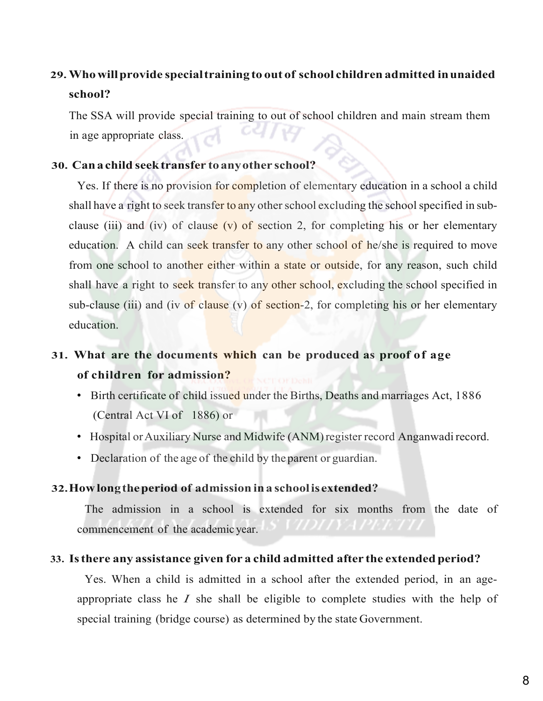# **29.Who will provide special training to out of school children admitted in unaided school?**

The SSA will provide special training to out of school children and main stream them in age appropriate class.

# **30. Can a child seek transfer to any other school?**

Yes. If there is no provision for completion of elementary education in a school a child shall have a right to seek transfer to any other school excluding the school specified in subclause (iii) and (iv) of clause (v) of section 2, for completing his or her elementary education. A child can seek transfer to any other school of he/she is required to move from one school to another either within a state or outside, for any reason, such child shall have a right to seek transfer to any other school, excluding the school specified in sub-clause (iii) and (iv of clause (v) of section-2, for completing his or her elementary education.

# **31. What are the documents which can be produced as proof of age of children for admission?**

- Birth certificate of child issued under the Births, Deaths and marriages Act, 1886 (Central Act VI of 1886) or
- Hospital or Auxiliary Nurse and Midwife (ANM) register record Anganwadi record.
- Declaration of the age of the child by the parent or guardian.

# **32.How long the period of admission in a school is extended?**

The admission in a school is extended for six months from the date of commencement of the academic year.

# **33. Is there any assistance given for a child admitted after the extended period?**

Yes. When a child is admitted in a school after the extended period, in an ageappropriate class he *I* she shall be eligible to complete studies with the help of special training (bridge course) as determined by the state Government.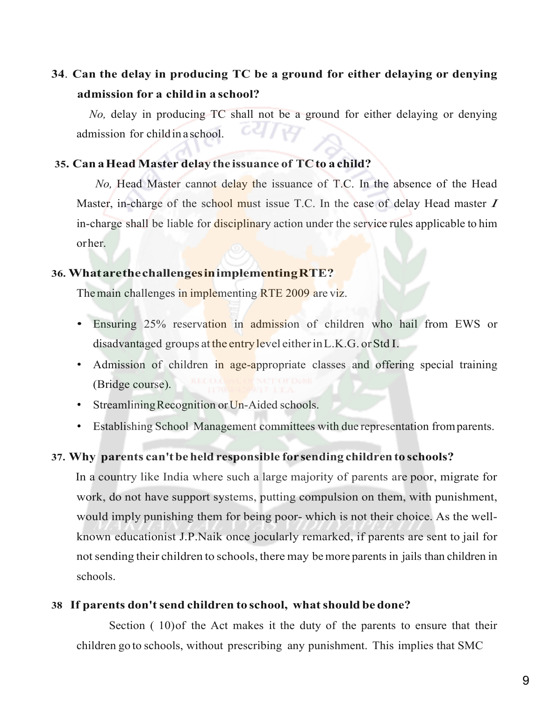# **34**. **Can the delay in producing TC be a ground for either delaying or denying admission for a child in a school?**

*No,* delay in producing TC shall not be a ground for either delaying or denying admission for child in a school.

# **35. Can aHead Master delay the issuance of TCto a child?**

*No.* Head Master cannot delay the issuance of T.C. In the absence of the Head Master, in-charge of the school must issue T.C. In the case of delay Head master *I*  in-charge shall be liable for disciplinary action under the service rules applicable to him or her.

# **36. What are thechallenges in implementingRTE?**

The main challenges in implementing RTE 2009 are viz.

- Ensuring 25% reservation in admission of children who hail from EWS or disadvantaged groups at the entry level either in L.K.G. or Std I.
- Admission of children in age-appropriate classes and offering special training (Bridge course).
- Streamlining Recognition or Un-Aided schools.
- Establishing School Management committees with due representation from parents.

# **37. Why parents can't be held responsible for sending children to schools?**

In a country like India where such a large majority of parents are poor, migrate for work, do not have support systems, putting compulsion on them, with punishment, would imply punishing them for being poor- which is not their choice. As the wellknown educationist J.P.Naik once jocularly remarked, if parents are sent to jail for not sending their children to schools, there may be more parents in jails than children in schools.

# **38 If parents don't send children to school, what should be done?**

 Section ( 10)of the Act makes it the duty of the parents to ensure that their children go to schools, without prescribing any punishment. This implies that SMC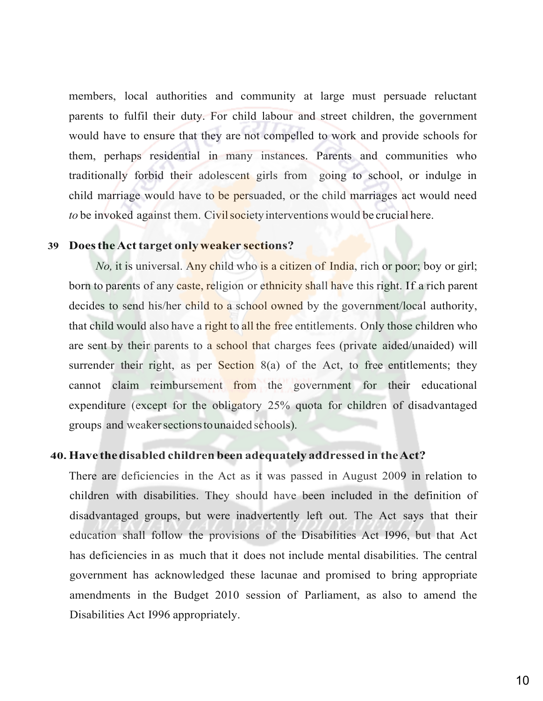members, local authorities and community at large must persuade reluctant parents to fulfil their duty. For child labour and street children, the government would have to ensure that they are not compelled to work and provide schools for them, perhaps residential in many instances. Parents and communities who traditionally forbid their adolescent girls from going to school, or indulge in child marriage would have to be persuaded, or the child marriages act would need *to* be invoked against them. Civil society interventions would be crucial here.

## **39 Does the Act target only weaker sections?**

*No*, it is universal. Any child who is a citizen of India, rich or poor; boy or girl; born to parents of any caste, religion or ethnicity shall have this right. If a rich parent decides to send his/her child to a school owned by the government/local authority, that child would also have a right to all the free entitlements. Only those children who are sent by their parents to a school that charges fees (private aided/unaided) will surrender their right, as per Section  $8(a)$  of the Act, to free entitlements; they cannot claim reimbursement from the government for their educational expenditure (except for the obligatory 25% quota for children of disadvantaged groups and weaker sections to unaided schools).

#### **40.Have the disabled children been adequately addressed in the Act?**

There are deficiencies in the Act as it was passed in August 2009 in relation to children with disabilities. They should have been included in the definition of disadvantaged groups, but were inadvertently left out. The Act says that their education shall follow the provisions of the Disabilities Act I996, but that Act has deficiencies in as much that it does not include mental disabilities. The central government has acknowledged these lacunae and promised to bring appropriate amendments in the Budget 2010 session of Parliament, as also to amend the Disabilities Act I996 appropriately.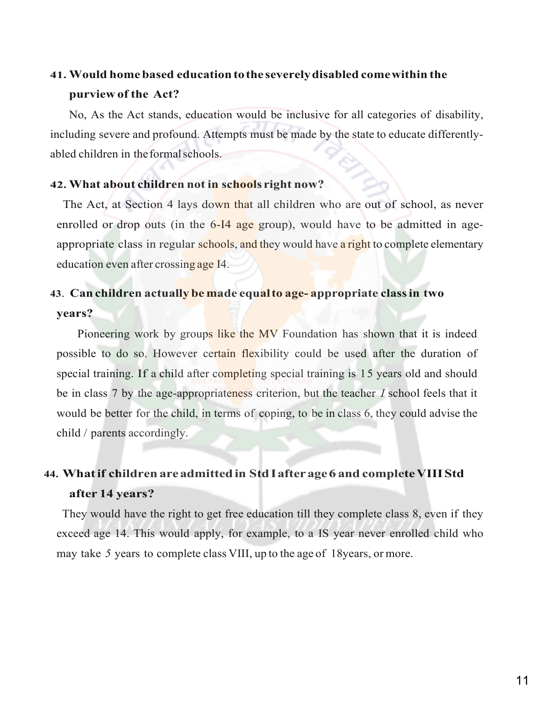# **41. Would home based education to the severely disabled come within the purview of the Act?**

 No, As the Act stands, education would be inclusive for all categories of disability, including severe and profound. Attempts must be made by the state to educate differentlyabled children in the formal schools.

# **42. What about children not in schools right now?**

The Act, at Section 4 lays down that all children who are out of school, as never enrolled or drop outs (in the 6-I4 age group), would have to be admitted in ageappropriate class in regular schools, and they would have a right to complete elementary education even after crossing age I4.

# **43**. **Can children actually be made equal to age- appropriate class in two years?**

Pioneering work by groups like the MV Foundation has shown that it is indeed possible to do so. However certain flexibility could be used after the duration of special training. If a child after completing special training is 15 years old and should be in class 7 by the age-appropriateness criterion, but the teacher *I* school feels that it would be better for the child, in terms of coping, to be in class 6, they could advise the child / parents accordingly.

# **44. What if children are admitted in Std I after age 6 and complete VIII Std after 14 years?**

 They would have the right to get free education till they complete class 8, even if they exceed age 14. This would apply, for example, to a IS year never enrolled child who may take *5* years to complete class VIII, up to the age of 18years, or more.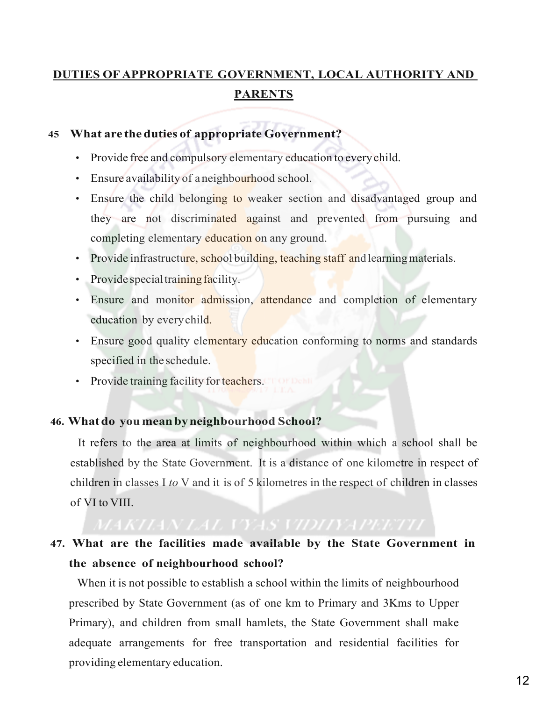# **DUTIES OF APPROPRIATE GOVERNMENT, LOCAL AUTHORITY AND PARENTS**

# **45 What are the duties of appropriate Government?**

- Provide free and compulsory elementary education to every child.
- Ensure availability of a neighbourhood school.
- Ensure the child belonging to weaker section and disadvantaged group and they are not discriminated against and prevented from pursuing and completing elementary education on any ground.
- Provide infrastructure, school building, teaching staff and learning materials.
- Provide special training facility.
- Ensure and monitor admission, attendance and completion of elementary education by every child.
- Ensure good quality elementary education conforming to norms and standards specified in the schedule.
- Provide training facility for teachers.

# **46. What do you mean by neighbourhood School?**

It refers to the area at limits of neighbourhood within which a school shall be established by the State Government. It is a distance of one kilometre in respect of children in classes I *to* V and it is of 5 kilometres in the respect of children in classes of VI to VIII.

# **47. What are the facilities made available by the State Government in the absence of neighbourhood school?**

When it is not possible to establish a school within the limits of neighbourhood prescribed by State Government (as of one km to Primary and 3Kms to Upper Primary), and children from small hamlets, the State Government shall make adequate arrangements for free transportation and residential facilities for providing elementary education.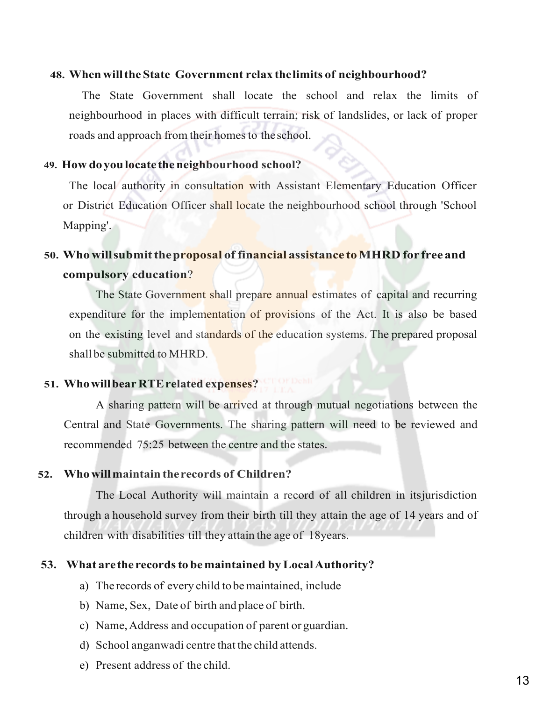# **48. When will the State Government relax the limits of neighbourhood?**

The State Government shall locate the school and relax the limits of neighbourhood in places with difficult terrain; risk of landslides, or lack of proper roads and approach from their homes to the school.

# **49. How do you locate the neighbourhood school?**

The local authority in consultation with Assistant Elementary Education Officer or District Education Officer shall locate the neighbourhood school through 'School Mapping'.

# **50. Who will submit the proposal of financial assistance to MHRD for free and compulsory education**?

The State Government shall prepare annual estimates of capital and recurring expenditure for the implementation of provisions of the Act. It is also be based on the existing level and standards of the education systems. The prepared proposal shall be submitted to MHRD.

# **51. Who will bear RTE related expenses?**

A sharing pattern will be arrived at through mutual negotiations between the Central and State Governments. The sharing pattern will need to be reviewed and recommended 75:25 between the centre and the states.

# **52. Who will maintain the records of Children?**

The Local Authority will maintain a record of all children in itsjurisdiction through a household survey from their birth till they attain the age of 14 years and of children with disabilities till they attain the age of 18years.

# **53. What are the records to be maintained by Local Authority?**

- a) The records of every child to be maintained, include
- b) Name, Sex, Date of birth and place of birth.
- c) Name, Address and occupation of parent or guardian.
- d) School anganwadi centre that the child attends.
- e) Present address of the child.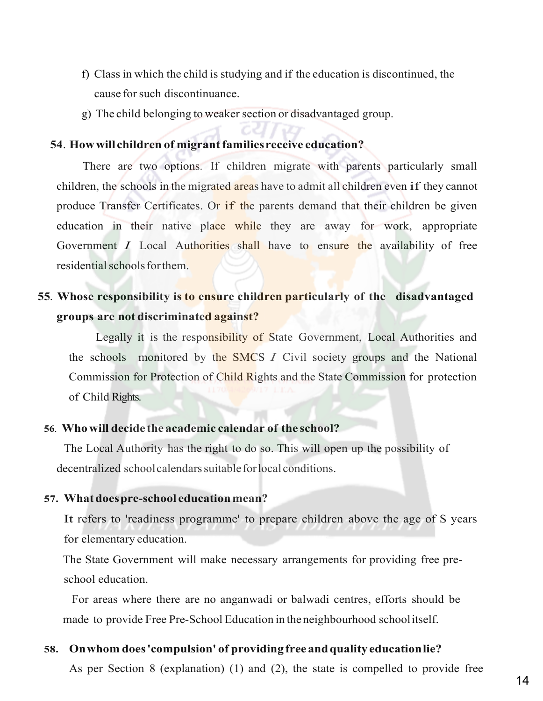- f) Class in which the child is studying and if the education is discontinued, the cause for such discontinuance.
- g) The child belonging to weaker section or disadvantaged group.

## **54**. **How will children of migrant families receive education?**

There are two options. If children migrate with parents particularly small children, the schools in the migrated areas have to admit all children even if they cannot produce Transfer Certificates. Or if the parents demand that their children be given education in their native place while they are away for work, appropriate Government *I* Local Authorities shall have to ensure the availability of free residential schools for them.

# **55***.* **Whose responsibility is to ensure children particularly of the disadvantaged groups are not discriminated against?**

Legally it is the responsibility of State Government, Local Authorities and the schools monitored by the SMCS *I* Civil society groups and the National Commission for Protection of Child Rights and the State Commission for protection of Child Rights.

# **56***.* **Who will decide the academic calendar of the school?**

The Local Authority has the right to do so. This will open up the possibility of decentralized school calendars suitable for local conditions.

#### **57. What does pre-school education mean?**

It refers to 'readiness programme' to prepare children above the age of S years for elementary education.

The State Government will make necessary arrangements for providing free preschool education.

 For areas where there are no anganwadi or balwadi centres, efforts should be made to provide Free Pre-School Education in the neighbourhood school itself.

# **58. On whom does 'compulsion' of providing free and quality education lie?**

As per Section 8 (explanation) (1) and (2), the state is compelled to provide free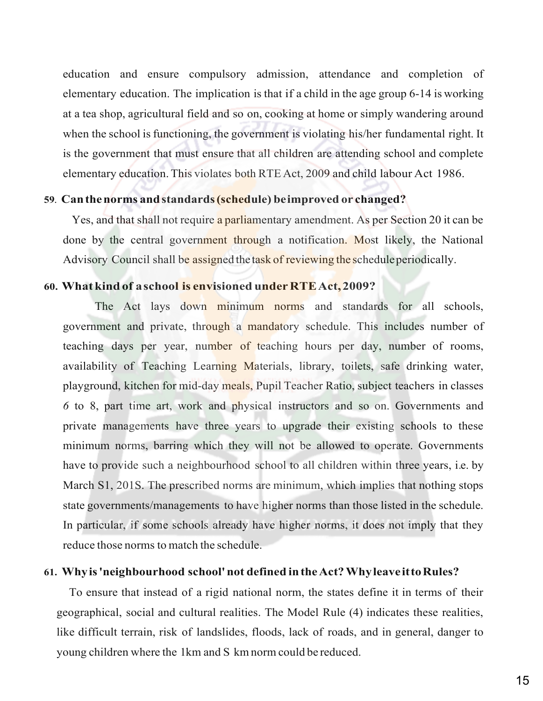education and ensure compulsory admission, attendance and completion of elementary education. The implication is that if a child in the age group 6-14 is working at a tea shop, agricultural field and so on, cooking at home or simply wandering around when the school is functioning, the government is violating his/her fundamental right. It is the government that must ensure that all children are attending school and complete elementary education. This violates both RTE Act, 2009 and child labour Act 1986.

# **59***.* **Can the norms and standards (schedule) be improved or changed?**

Yes, and that shall not require a parliamentary amendment. As per Section 20 it can be done by the central government through a notification. Most likely, the National Advisory Council shall be assigned the task of reviewing the schedule periodically.

# **60. What kind of a school is envisioned under RTE Act, 2009?**

The Act lays down minimum norms and standards for all schools, government and private, through a mandatory schedule. This includes number of teaching days per year, number of teaching hours per day, number of rooms, availability of Teaching Learning Materials, library, toilets, safe drinking water, playground, kitchen for mid-day meals, Pupil Teacher Ratio, subject teachers in classes *6* to 8, part time art, work and physical instructors and so on. Governments and private managements have three years to upgrade their existing schools to these minimum norms, barring which they will not be allowed to operate. Governments have to provide such a neighbourhood school to all children within three years, i.e. by March S1, 201S. The prescribed norms are minimum, which implies that nothing stops state governments/managements to have higher norms than those listed in the schedule. In particular, if some schools already have higher norms, it does not imply that they reduce those norms to match the schedule.

## **61. Whyis 'neighbourhood school' not defined in the Act? Why leave it to Rules?**

To ensure that instead of a rigid national norm, the states define it in terms of their geographical, social and cultural realities. The Model Rule (4) indicates these realities, like difficult terrain, risk of landslides, floods, lack of roads, and in general, danger to young children where the 1km and S km norm could be reduced.